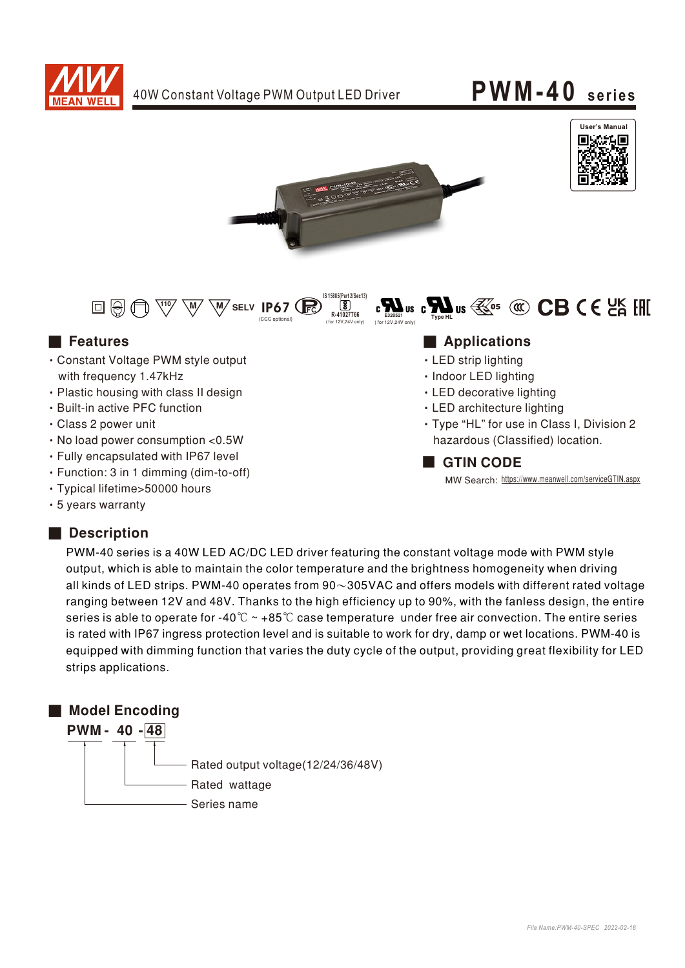







- Constant Voltage PWM style output with frequency 1.47kHz
- Plastic housing with class II design
- Built-in active PFC function
- Class 2 power unit
- No load power consumption < 0.5W
- Fully encapsulated with IP67 level
- · Function: 3 in 1 dimming (dim-to-off)
- Typical lifetime>50000 hours
- 5 years warranty

### Description

### PWM-40 series is a 40W LED AC/DC LED driver featuring the constant voltage mode with PWM style output, which is able to maintain the color temperature and the brightness homogeneity when driving all kinds of LED strips. PWM-40 operates from  $90\sim305$ VAC and offers models with different rated voltage ranging between 12V and 48V. Thanks to the high efficiency up to 90%, with the fanless design, the entire series is able to operate for -40°C  $\sim$  +85°C case temperature under free air convection. The entire series is rated with IP67 ingress protection level and is suitable to work for dry, damp or wet locations. PWM-40 is equipped with dimming function that varies the duty cycle of the output, providing great flexibility for LED strips applications.

## ■ Model Encoding PWM-40-48 Rated output voltage(12/24/36/48V) Rated wattage Series name

#### ■ Features ■ Particular and Particular and Particular and Particular and Particular and Particular and Particular and Particular and Particular and Particular and Particular and Particular and Particular and Particular an

- LED strip lighting
- · Indoor LED lighting
- LED decorative lighting
- LED architecture lighting
- · Type "HL" for use in Class I, Division 2 hazardous (Classified) location.

#### **GTIN CODE**

MW Search: https://www.meanwell.com/serviceGTIN.aspx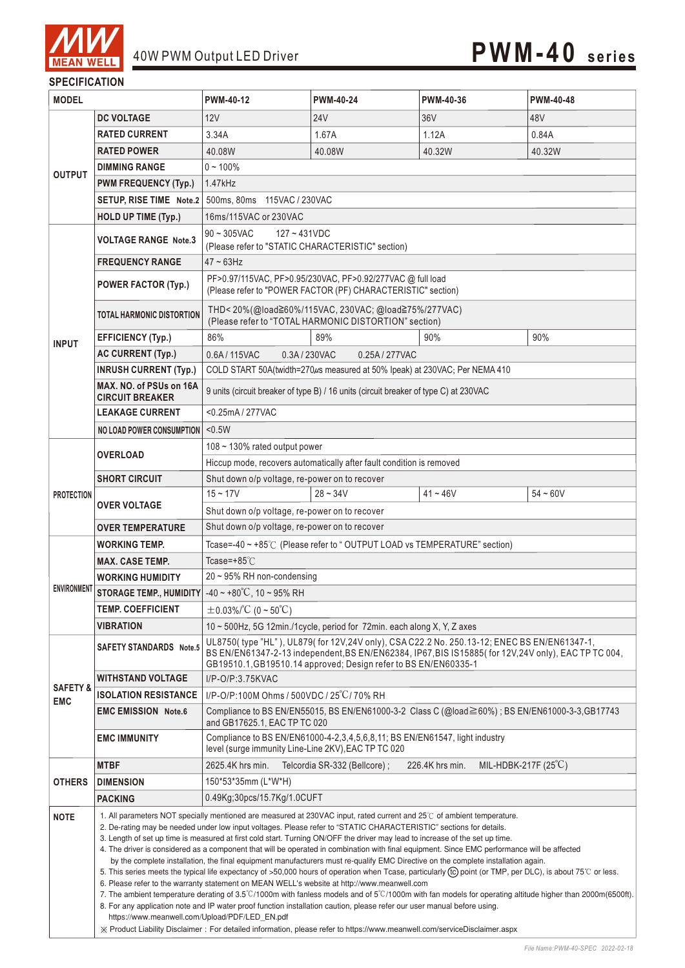

#### **SPECIFICATION**

| <b>MODEL</b>                      |                                                                                                                                                                                                                                                                                                                                                                                                                                                                                                                                                                                                                                                                                                                                                                                                                                                                                                                                                                                                                                                                                                                                                                                                                                                                                                                                                                                                         | PWM-40-12                                                                                                                                                                                                                                                            | <b>PWM-40-24</b>                                                     | PWM-40-36                                        | <b>PWM-40-48</b> |
|-----------------------------------|---------------------------------------------------------------------------------------------------------------------------------------------------------------------------------------------------------------------------------------------------------------------------------------------------------------------------------------------------------------------------------------------------------------------------------------------------------------------------------------------------------------------------------------------------------------------------------------------------------------------------------------------------------------------------------------------------------------------------------------------------------------------------------------------------------------------------------------------------------------------------------------------------------------------------------------------------------------------------------------------------------------------------------------------------------------------------------------------------------------------------------------------------------------------------------------------------------------------------------------------------------------------------------------------------------------------------------------------------------------------------------------------------------|----------------------------------------------------------------------------------------------------------------------------------------------------------------------------------------------------------------------------------------------------------------------|----------------------------------------------------------------------|--------------------------------------------------|------------------|
|                                   | <b>DC VOLTAGE</b>                                                                                                                                                                                                                                                                                                                                                                                                                                                                                                                                                                                                                                                                                                                                                                                                                                                                                                                                                                                                                                                                                                                                                                                                                                                                                                                                                                                       | 12V                                                                                                                                                                                                                                                                  | 24 V                                                                 | 36V                                              | 48V              |
| <b>OUTPUT</b>                     | <b>RATED CURRENT</b>                                                                                                                                                                                                                                                                                                                                                                                                                                                                                                                                                                                                                                                                                                                                                                                                                                                                                                                                                                                                                                                                                                                                                                                                                                                                                                                                                                                    | 3.34A                                                                                                                                                                                                                                                                | 1.67A                                                                | 1.12A                                            | 0.84A            |
|                                   | <b>RATED POWER</b>                                                                                                                                                                                                                                                                                                                                                                                                                                                                                                                                                                                                                                                                                                                                                                                                                                                                                                                                                                                                                                                                                                                                                                                                                                                                                                                                                                                      | 40.08W                                                                                                                                                                                                                                                               | 40.08W                                                               | 40.32W                                           | 40.32W           |
|                                   | <b>DIMMING RANGE</b>                                                                                                                                                                                                                                                                                                                                                                                                                                                                                                                                                                                                                                                                                                                                                                                                                                                                                                                                                                                                                                                                                                                                                                                                                                                                                                                                                                                    | $0 - 100\%$                                                                                                                                                                                                                                                          |                                                                      |                                                  |                  |
|                                   | <b>PWM FREQUENCY (Typ.)</b>                                                                                                                                                                                                                                                                                                                                                                                                                                                                                                                                                                                                                                                                                                                                                                                                                                                                                                                                                                                                                                                                                                                                                                                                                                                                                                                                                                             | 1.47kHz                                                                                                                                                                                                                                                              |                                                                      |                                                  |                  |
|                                   | SETUP, RISE TIME Note.2                                                                                                                                                                                                                                                                                                                                                                                                                                                                                                                                                                                                                                                                                                                                                                                                                                                                                                                                                                                                                                                                                                                                                                                                                                                                                                                                                                                 | 500ms, 80ms 115VAC / 230VAC                                                                                                                                                                                                                                          |                                                                      |                                                  |                  |
|                                   | <b>HOLD UP TIME (Typ.)</b>                                                                                                                                                                                                                                                                                                                                                                                                                                                                                                                                                                                                                                                                                                                                                                                                                                                                                                                                                                                                                                                                                                                                                                                                                                                                                                                                                                              | 16ms/115VAC or 230VAC                                                                                                                                                                                                                                                |                                                                      |                                                  |                  |
|                                   | <b>VOLTAGE RANGE Note.3</b>                                                                                                                                                                                                                                                                                                                                                                                                                                                                                                                                                                                                                                                                                                                                                                                                                                                                                                                                                                                                                                                                                                                                                                                                                                                                                                                                                                             | $90 - 305$ VAC<br>$127 - 431VDC$<br>(Please refer to "STATIC CHARACTERISTIC" section)                                                                                                                                                                                |                                                                      |                                                  |                  |
| <b>INPUT</b>                      | <b>FREQUENCY RANGE</b>                                                                                                                                                                                                                                                                                                                                                                                                                                                                                                                                                                                                                                                                                                                                                                                                                                                                                                                                                                                                                                                                                                                                                                                                                                                                                                                                                                                  | $47 \sim 63$ Hz                                                                                                                                                                                                                                                      |                                                                      |                                                  |                  |
|                                   | <b>POWER FACTOR (Typ.)</b>                                                                                                                                                                                                                                                                                                                                                                                                                                                                                                                                                                                                                                                                                                                                                                                                                                                                                                                                                                                                                                                                                                                                                                                                                                                                                                                                                                              | PF>0.97/115VAC, PF>0.95/230VAC, PF>0.92/277VAC @ full load<br>(Please refer to "POWER FACTOR (PF) CHARACTERISTIC" section)                                                                                                                                           |                                                                      |                                                  |                  |
|                                   | <b>TOTAL HARMONIC DISTORTION</b>                                                                                                                                                                                                                                                                                                                                                                                                                                                                                                                                                                                                                                                                                                                                                                                                                                                                                                                                                                                                                                                                                                                                                                                                                                                                                                                                                                        | THD<20%(@load≧60%/115VAC, 230VAC; @load≧75%/277VAC)<br>(Please refer to "TOTAL HARMONIC DISTORTION" section)                                                                                                                                                         |                                                                      |                                                  |                  |
|                                   | <b>EFFICIENCY (Typ.)</b>                                                                                                                                                                                                                                                                                                                                                                                                                                                                                                                                                                                                                                                                                                                                                                                                                                                                                                                                                                                                                                                                                                                                                                                                                                                                                                                                                                                | 86%                                                                                                                                                                                                                                                                  | 89%                                                                  | 90%                                              | 90%              |
|                                   | <b>AC CURRENT (Typ.)</b>                                                                                                                                                                                                                                                                                                                                                                                                                                                                                                                                                                                                                                                                                                                                                                                                                                                                                                                                                                                                                                                                                                                                                                                                                                                                                                                                                                                | 0.6A/115VAC<br>0.3A/230VAC                                                                                                                                                                                                                                           | 0.25A / 277VAC                                                       |                                                  |                  |
|                                   | <b>INRUSH CURRENT (Typ.)</b>                                                                                                                                                                                                                                                                                                                                                                                                                                                                                                                                                                                                                                                                                                                                                                                                                                                                                                                                                                                                                                                                                                                                                                                                                                                                                                                                                                            | COLD START 50A(twidth=270 $\mu$ s measured at 50% Ipeak) at 230VAC; Per NEMA 410                                                                                                                                                                                     |                                                                      |                                                  |                  |
|                                   | MAX. NO. of PSUs on 16A<br><b>CIRCUIT BREAKER</b>                                                                                                                                                                                                                                                                                                                                                                                                                                                                                                                                                                                                                                                                                                                                                                                                                                                                                                                                                                                                                                                                                                                                                                                                                                                                                                                                                       | 9 units (circuit breaker of type B) / 16 units (circuit breaker of type C) at 230VAC                                                                                                                                                                                 |                                                                      |                                                  |                  |
|                                   | <b>LEAKAGE CURRENT</b>                                                                                                                                                                                                                                                                                                                                                                                                                                                                                                                                                                                                                                                                                                                                                                                                                                                                                                                                                                                                                                                                                                                                                                                                                                                                                                                                                                                  | <0.25mA/277VAC                                                                                                                                                                                                                                                       |                                                                      |                                                  |                  |
|                                   | <b>NO LOAD POWER CONSUMPTION</b>                                                                                                                                                                                                                                                                                                                                                                                                                                                                                                                                                                                                                                                                                                                                                                                                                                                                                                                                                                                                                                                                                                                                                                                                                                                                                                                                                                        | < 0.5W                                                                                                                                                                                                                                                               |                                                                      |                                                  |                  |
| <b>PROTECTION</b>                 | OVERLOAD                                                                                                                                                                                                                                                                                                                                                                                                                                                                                                                                                                                                                                                                                                                                                                                                                                                                                                                                                                                                                                                                                                                                                                                                                                                                                                                                                                                                | 108 $\sim$ 130% rated output power                                                                                                                                                                                                                                   |                                                                      |                                                  |                  |
|                                   |                                                                                                                                                                                                                                                                                                                                                                                                                                                                                                                                                                                                                                                                                                                                                                                                                                                                                                                                                                                                                                                                                                                                                                                                                                                                                                                                                                                                         |                                                                                                                                                                                                                                                                      | Hiccup mode, recovers automatically after fault condition is removed |                                                  |                  |
|                                   | <b>SHORT CIRCUIT</b>                                                                                                                                                                                                                                                                                                                                                                                                                                                                                                                                                                                                                                                                                                                                                                                                                                                                                                                                                                                                                                                                                                                                                                                                                                                                                                                                                                                    | Shut down o/p voltage, re-power on to recover                                                                                                                                                                                                                        |                                                                      |                                                  |                  |
|                                   | <b>OVER VOLTAGE</b>                                                                                                                                                                                                                                                                                                                                                                                                                                                                                                                                                                                                                                                                                                                                                                                                                                                                                                                                                                                                                                                                                                                                                                                                                                                                                                                                                                                     | $15 - 17V$                                                                                                                                                                                                                                                           | $28 - 34V$                                                           | $41 - 46V$                                       | $54 - 60V$       |
|                                   |                                                                                                                                                                                                                                                                                                                                                                                                                                                                                                                                                                                                                                                                                                                                                                                                                                                                                                                                                                                                                                                                                                                                                                                                                                                                                                                                                                                                         | Shut down o/p voltage, re-power on to recover                                                                                                                                                                                                                        |                                                                      |                                                  |                  |
|                                   | <b>OVER TEMPERATURE</b>                                                                                                                                                                                                                                                                                                                                                                                                                                                                                                                                                                                                                                                                                                                                                                                                                                                                                                                                                                                                                                                                                                                                                                                                                                                                                                                                                                                 | Shut down o/p voltage, re-power on to recover                                                                                                                                                                                                                        |                                                                      |                                                  |                  |
|                                   | WORKING TEMP.                                                                                                                                                                                                                                                                                                                                                                                                                                                                                                                                                                                                                                                                                                                                                                                                                                                                                                                                                                                                                                                                                                                                                                                                                                                                                                                                                                                           | Tcase=-40 ~ +85℃ (Please refer to "OUTPUT LOAD vs TEMPERATURE" section)                                                                                                                                                                                              |                                                                      |                                                  |                  |
| <b>ENVIRONMENT</b>                | <b>MAX. CASE TEMP.</b>                                                                                                                                                                                                                                                                                                                                                                                                                                                                                                                                                                                                                                                                                                                                                                                                                                                                                                                                                                                                                                                                                                                                                                                                                                                                                                                                                                                  | Tcase= $+85^{\circ}$ C                                                                                                                                                                                                                                               |                                                                      |                                                  |                  |
|                                   | <b>WORKING HUMIDITY</b>                                                                                                                                                                                                                                                                                                                                                                                                                                                                                                                                                                                                                                                                                                                                                                                                                                                                                                                                                                                                                                                                                                                                                                                                                                                                                                                                                                                 | $20 \sim 95\%$ RH non-condensing                                                                                                                                                                                                                                     |                                                                      |                                                  |                  |
|                                   | <b>STORAGE TEMP., HUMIDITY</b>                                                                                                                                                                                                                                                                                                                                                                                                                                                                                                                                                                                                                                                                                                                                                                                                                                                                                                                                                                                                                                                                                                                                                                                                                                                                                                                                                                          | $-40 \sim +80^{\circ}$ C, 10 ~ 95% RH                                                                                                                                                                                                                                |                                                                      |                                                  |                  |
|                                   | <b>TEMP. COEFFICIENT</b>                                                                                                                                                                                                                                                                                                                                                                                                                                                                                                                                                                                                                                                                                                                                                                                                                                                                                                                                                                                                                                                                                                                                                                                                                                                                                                                                                                                | $\pm$ 0.03%/°C (0~50°C)                                                                                                                                                                                                                                              |                                                                      |                                                  |                  |
|                                   | VIBRATION                                                                                                                                                                                                                                                                                                                                                                                                                                                                                                                                                                                                                                                                                                                                                                                                                                                                                                                                                                                                                                                                                                                                                                                                                                                                                                                                                                                               | 10 ~ 500Hz, 5G 12min./1cycle, period for 72min. each along X, Y, Z axes                                                                                                                                                                                              |                                                                      |                                                  |                  |
| <b>SAFETY &amp;</b><br><b>EMC</b> | <b>SAFETY STANDARDS</b> Note.5                                                                                                                                                                                                                                                                                                                                                                                                                                                                                                                                                                                                                                                                                                                                                                                                                                                                                                                                                                                                                                                                                                                                                                                                                                                                                                                                                                          | UL8750(type "HL"), UL879(for 12V,24V only), CSAC22.2 No. 250.13-12; ENEC BS EN/EN61347-1,<br>BS EN/EN61347-2-13 independent, BS EN/EN62384, IP67, BIS IS15885 (for 12V, 24V only), EAC TP TC 004,<br>GB19510.1, GB19510.14 approved; Design refer to BS EN/EN60335-1 |                                                                      |                                                  |                  |
|                                   | <b>WITHSTAND VOLTAGE</b>                                                                                                                                                                                                                                                                                                                                                                                                                                                                                                                                                                                                                                                                                                                                                                                                                                                                                                                                                                                                                                                                                                                                                                                                                                                                                                                                                                                | $I/P$ -O/P:3.75KVAC                                                                                                                                                                                                                                                  |                                                                      |                                                  |                  |
|                                   | <b>ISOLATION RESISTANCE</b>                                                                                                                                                                                                                                                                                                                                                                                                                                                                                                                                                                                                                                                                                                                                                                                                                                                                                                                                                                                                                                                                                                                                                                                                                                                                                                                                                                             | I/P-O/P:100M Ohms / 500VDC / 25°C/70% RH                                                                                                                                                                                                                             |                                                                      |                                                  |                  |
|                                   | <b>EMC EMISSION Note.6</b>                                                                                                                                                                                                                                                                                                                                                                                                                                                                                                                                                                                                                                                                                                                                                                                                                                                                                                                                                                                                                                                                                                                                                                                                                                                                                                                                                                              | Compliance to BS EN/EN55015, BS EN/EN61000-3-2 Class C (@load≧60%) ; BS EN/EN61000-3-3,GB17743<br>and GB17625.1, EAC TP TC 020                                                                                                                                       |                                                                      |                                                  |                  |
|                                   | <b>EMC IMMUNITY</b>                                                                                                                                                                                                                                                                                                                                                                                                                                                                                                                                                                                                                                                                                                                                                                                                                                                                                                                                                                                                                                                                                                                                                                                                                                                                                                                                                                                     | Compliance to BS EN/EN61000-4-2,3,4,5,6,8,11; BS EN/EN61547, light industry<br>level (surge immunity Line-Line 2KV), EAC TP TC 020                                                                                                                                   |                                                                      |                                                  |                  |
| <b>OTHERS</b>                     | <b>MTBF</b>                                                                                                                                                                                                                                                                                                                                                                                                                                                                                                                                                                                                                                                                                                                                                                                                                                                                                                                                                                                                                                                                                                                                                                                                                                                                                                                                                                                             | 2625.4K hrs min.                                                                                                                                                                                                                                                     | Telcordia SR-332 (Bellcore);                                         | MIL-HDBK-217F $(25^{\circ}C)$<br>226.4K hrs min. |                  |
|                                   | <b>DIMENSION</b>                                                                                                                                                                                                                                                                                                                                                                                                                                                                                                                                                                                                                                                                                                                                                                                                                                                                                                                                                                                                                                                                                                                                                                                                                                                                                                                                                                                        | 150*53*35mm (L*W*H)                                                                                                                                                                                                                                                  |                                                                      |                                                  |                  |
|                                   | <b>PACKING</b>                                                                                                                                                                                                                                                                                                                                                                                                                                                                                                                                                                                                                                                                                                                                                                                                                                                                                                                                                                                                                                                                                                                                                                                                                                                                                                                                                                                          | 0.49Kg;30pcs/15.7Kg/1.0CUFT                                                                                                                                                                                                                                          |                                                                      |                                                  |                  |
| <b>NOTE</b>                       | 1. All parameters NOT specially mentioned are measured at 230VAC input, rated current and 25°C of ambient temperature.<br>2. De-rating may be needed under low input voltages. Please refer to "STATIC CHARACTERISTIC" sections for details.<br>3. Length of set up time is measured at first cold start. Turning ON/OFF the driver may lead to increase of the set up time.<br>4. The driver is considered as a component that will be operated in combination with final equipment. Since EMC performance will be affected<br>by the complete installation, the final equipment manufacturers must re-qualify EMC Directive on the complete installation again.<br>5. This series meets the typical life expectancy of >50,000 hours of operation when Tcase, particularly (c) point (or TMP, per DLC), is about 75°C or less.<br>6. Please refer to the warranty statement on MEAN WELL's website at http://www.meanwell.com<br>7. The ambient temperature derating of 3.5°C/1000m with fanless models and of 5°C/1000m with fan models for operating altitude higher than 2000m(6500ft).<br>8. For any application note and IP water proof function installation caution, please refer our user manual before using.<br>https://www.meanwell.com/Upload/PDF/LED EN.pdf<br>X Product Liability Disclaimer: For detailed information, please refer to https://www.meanwell.com/serviceDisclaimer.aspx |                                                                                                                                                                                                                                                                      |                                                                      |                                                  |                  |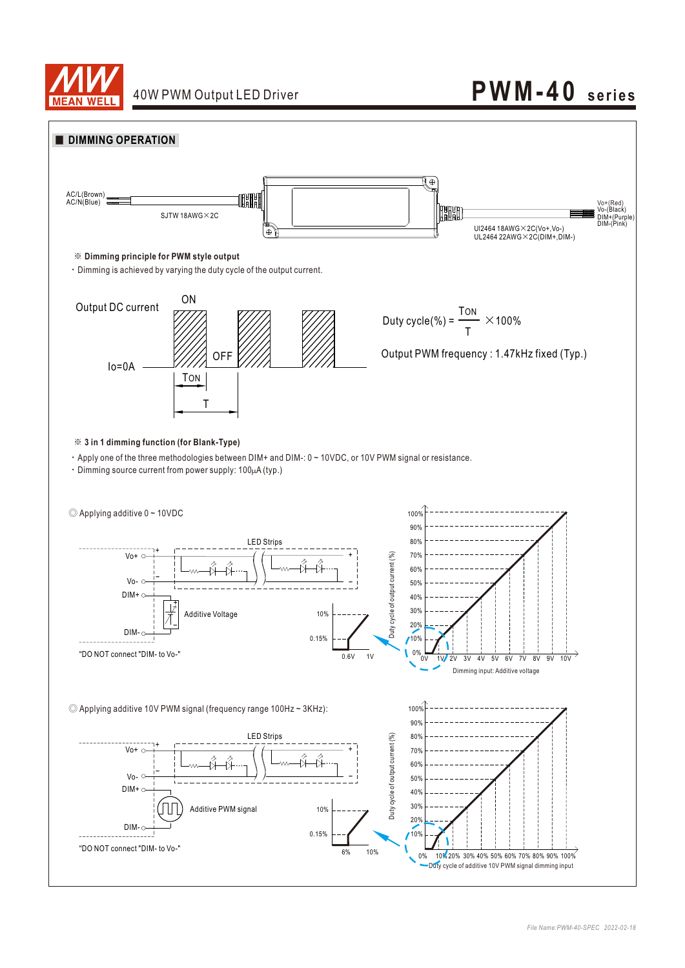

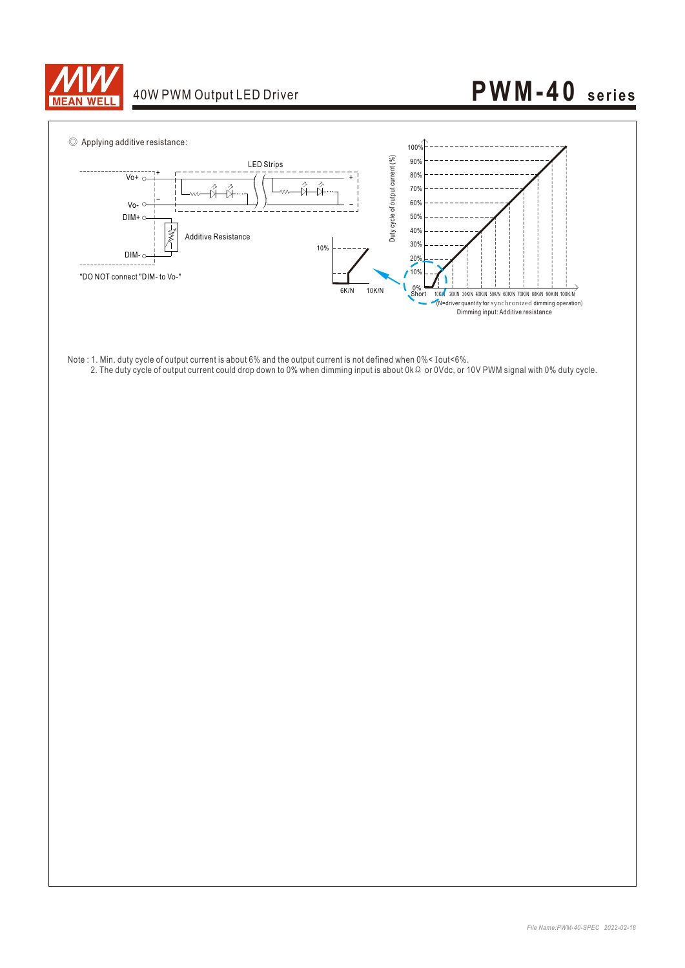

# 40W PWM Output LED Driver **PWM-40** series



- Note : 1. Min. duty cycle of output current is about 6% and the output current is not defined when 0%< Iout<6%.
- 2. The duty cycle of output current could drop down to 0% when dimming input is about 0kΩ or 0Vdc, or 10V PWM signal with 0% duty cycle.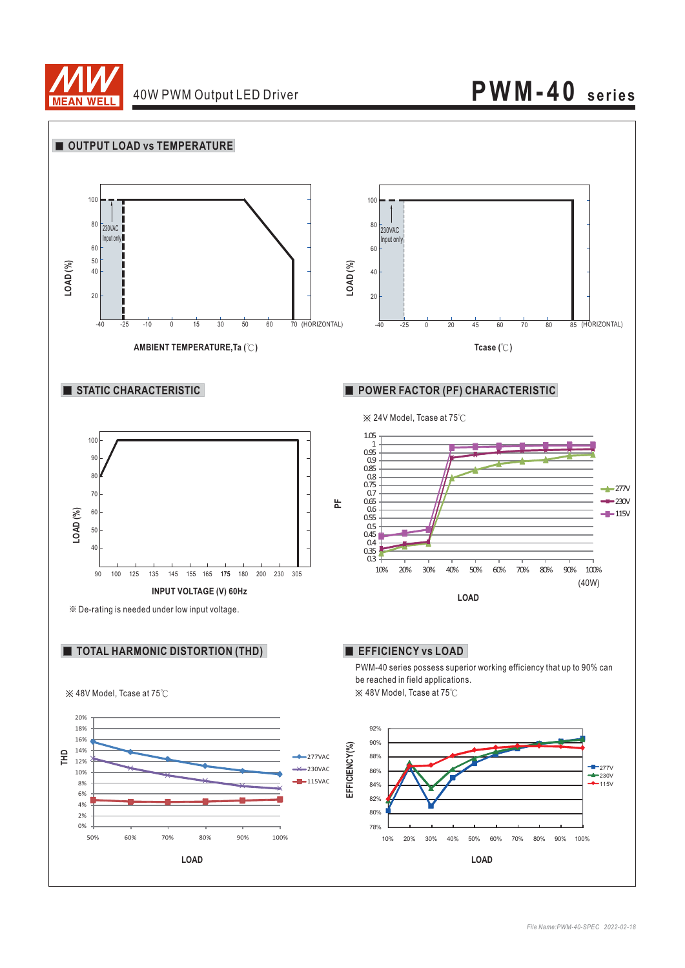

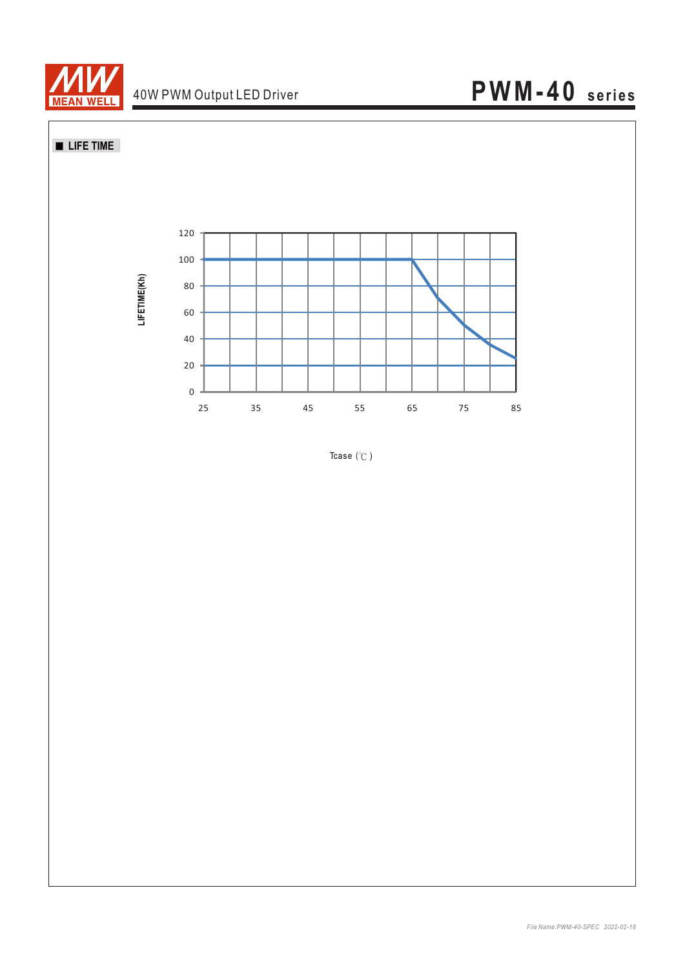

**LIFE TIME** 



Tcase  $(°C)$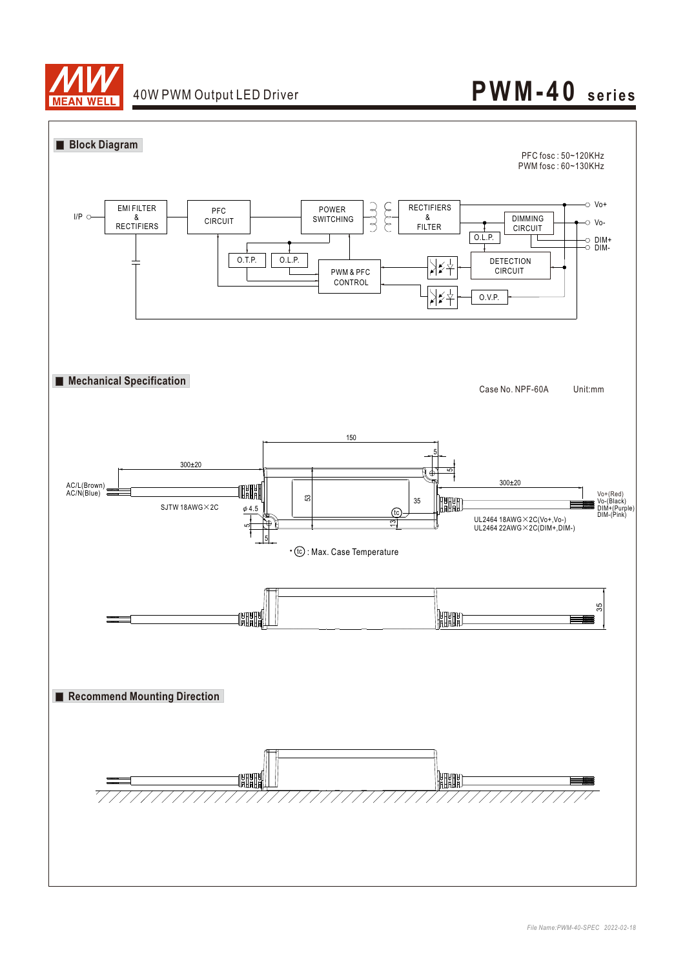

## 40W PWM Output LED Driver **PWM-40** series